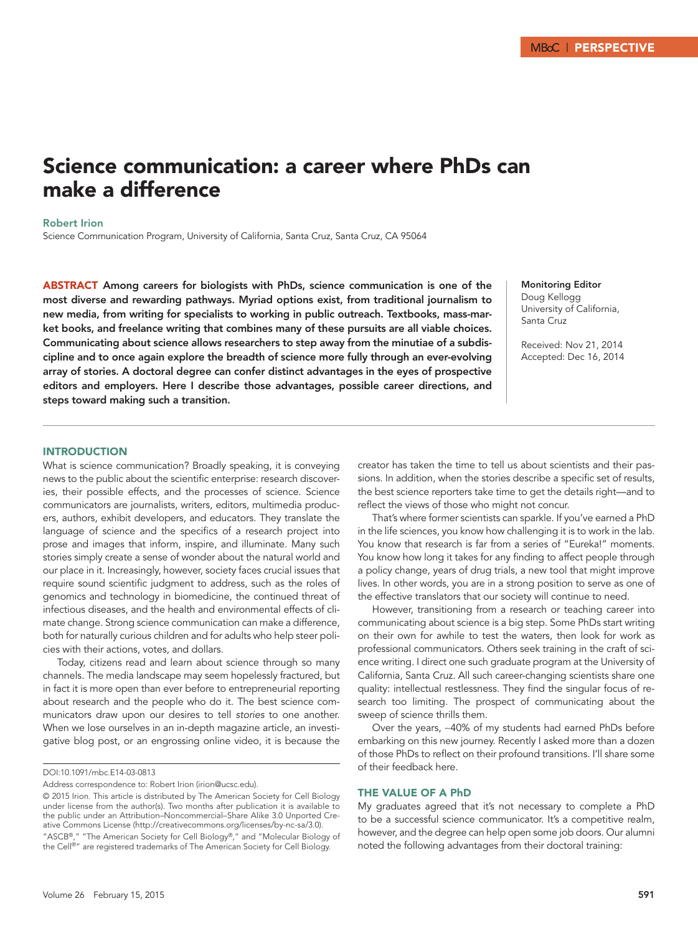# Science communication: a career where PhDs can make a difference

### Robert Irion

Science Communication Program, University of California, Santa Cruz, Santa Cruz, CA 95064

ABSTRACT Among careers for biologists with PhDs, science communication is one of the most diverse and rewarding pathways. Myriad options exist, from traditional journalism to new media, from writing for specialists to working in public outreach. Textbooks, mass-market books, and freelance writing that combines many of these pursuits are all viable choices. Communicating about science allows researchers to step away from the minutiae of a subdiscipline and to once again explore the breadth of science more fully through an ever-evolving array of stories. A doctoral degree can confer distinct advantages in the eyes of prospective editors and employers. Here I describe those advantages, possible career directions, and steps toward making such a transition.

#### Monitoring Editor

Doug Kellogg University of California, Santa Cruz

Received: Nov 21, 2014 Accepted: Dec 16, 2014

## INTRODUCTION

What is science communication? Broadly speaking, it is conveying news to the public about the scientific enterprise: research discoveries, their possible effects, and the processes of science. Science communicators are journalists, writers, editors, multimedia producers, authors, exhibit developers, and educators. They translate the language of science and the specifics of a research project into prose and images that inform, inspire, and illuminate. Many such stories simply create a sense of wonder about the natural world and our place in it. Increasingly, however, society faces crucial issues that require sound scientific judgment to address, such as the roles of genomics and technology in biomedicine, the continued threat of infectious diseases, and the health and environmental effects of climate change. Strong science communication can make a difference, both for naturally curious children and for adults who help steer policies with their actions, votes, and dollars.

Today, citizens read and learn about science through so many channels. The media landscape may seem hopelessly fractured, but in fact it is more open than ever before to entrepreneurial reporting about research and the people who do it. The best science communicators draw upon our desires to tell *stories* to one another. When we lose ourselves in an in-depth magazine article, an investigative blog post, or an engrossing online video, it is because the creator has taken the time to tell us about scientists and their passions. In addition, when the stories describe a specific set of results, the best science reporters take time to get the details right—and to reflect the views of those who might not concur.

That's where former scientists can sparkle. If you've earned a PhD in the life sciences, you know how challenging it is to work in the lab. You know that research is far from a series of "Eureka!" moments. You know how long it takes for any finding to affect people through a policy change, years of drug trials, a new tool that might improve lives. In other words, you are in a strong position to serve as one of the effective translators that our society will continue to need.

However, transitioning from a research or teaching career into communicating about science is a big step. Some PhDs start writing on their own for awhile to test the waters, then look for work as professional communicators. Others seek training in the craft of science writing. I direct one such graduate program at the University of California, Santa Cruz. All such career-changing scientists share one quality: intellectual restlessness. They find the singular focus of research too limiting. The prospect of communicating about the sweep of science thrills them.

Over the years, ∼40% of my students had earned PhDs before embarking on this new journey. Recently I asked more than a dozen of those PhDs to reflect on their profound transitions. I'll share some of their feedback here.

#### THE VALUE OF A PhD

My graduates agreed that it's not necessary to complete a PhD to be a successful science communicator. It's a competitive realm, however, and the degree can help open some job doors. Our alumni noted the following advantages from their doctoral training:

DOI:10.1091/mbc.E14-03-0813

Address correspondence to: Robert Irion (irion@ucsc.edu).

<sup>© 2015</sup> Irion. This article is distributed by The American Society for Cell Biology under license from the author(s). Two months after publication it is available to the public under an Attribution–Noncommercial–Share Alike 3.0 Unported Creative Commons License (http://creativecommons.org/licenses/by-nc-sa/3.0). "ASCB®," "The American Society for Cell Biology®," and "Molecular Biology of the Cell®" are registered trademarks of The American Society for Cell Biology.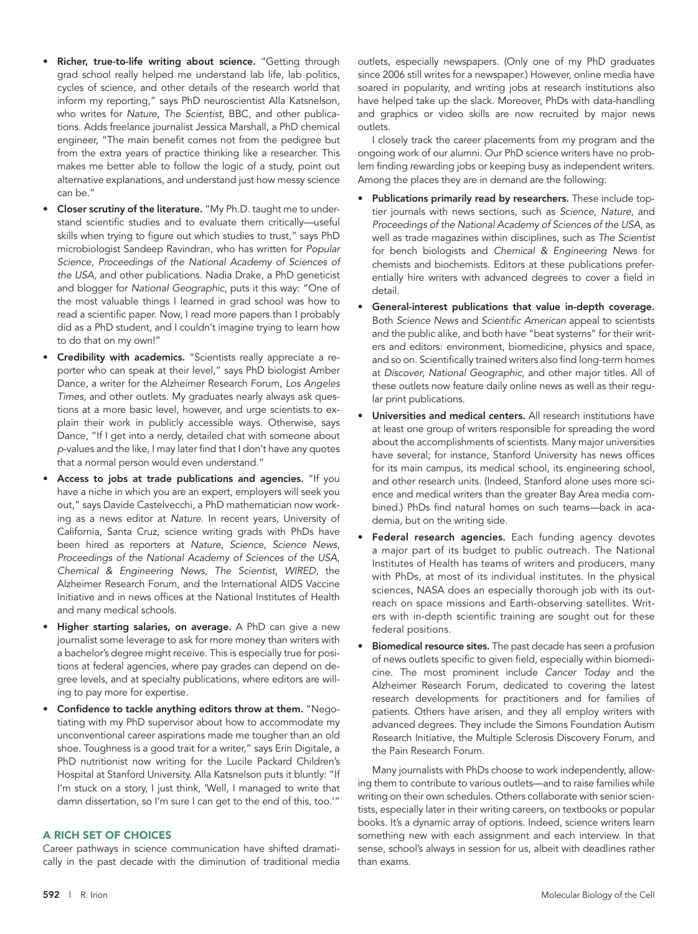- Richer, true-to-life writing about science. "Getting through grad school really helped me understand lab life, lab politics, cycles of science, and other details of the research world that inform my reporting," says PhD neuroscientist Alla Katsnelson, who writes for *Nature*, *The Scientist*, BBC, and other publications. Adds freelance journalist Jessica Marshall, a PhD chemical engineer, "The main benefit comes not from the pedigree but from the extra years of practice thinking like a researcher. This makes me better able to follow the logic of a study, point out alternative explanations, and understand just how messy science can be."
- Closer scrutiny of the literature. "My Ph.D. taught me to understand scientific studies and to evaluate them critically—useful skills when trying to figure out which studies to trust," says PhD microbiologist Sandeep Ravindran, who has written for *Popular Science*, *Proceedings of the National Academy of Sciences of the USA*, and other publications. Nadia Drake, a PhD geneticist and blogger for *National Geographic*, puts it this way: "One of the most valuable things I learned in grad school was how to read a scientific paper. Now, I read more papers than I probably did as a PhD student, and I couldn't imagine trying to learn how to do that on my own!"
- Credibility with academics. "Scientists really appreciate a reporter who can speak at their level," says PhD biologist Amber Dance, a writer for the Alzheimer Research Forum, *Los Angeles Times*, and other outlets. My graduates nearly always ask questions at a more basic level, however, and urge scientists to explain their work in publicly accessible ways. Otherwise, says Dance, "If I get into a nerdy, detailed chat with someone about *p*-values and the like, I may later find that I don't have any quotes that a normal person would even understand."
- Access to jobs at trade publications and agencies. "If you have a niche in which you are an expert, employers will seek you out," says Davide Castelvecchi, a PhD mathematician now working as a news editor at *Nature*. In recent years, University of California, Santa Cruz, science writing grads with PhDs have been hired as reporters at *Nature*, *Science*, *Science News*, *Proceedings of the National Academy of Sciences of the USA*, *Chemical & Engineering News*, *The Scientist*, *WIRED*, the Alzheimer Research Forum, and the International AIDS Vaccine Initiative and in news offices at the National Institutes of Health and many medical schools.
- Higher starting salaries, on average. A PhD can give a new journalist some leverage to ask for more money than writers with a bachelor's degree might receive. This is especially true for positions at federal agencies, where pay grades can depend on degree levels, and at specialty publications, where editors are willing to pay more for expertise.
- Confidence to tackle anything editors throw at them. "Negotiating with my PhD supervisor about how to accommodate my unconventional career aspirations made me tougher than an old shoe. Toughness is a good trait for a writer," says Erin Digitale, a PhD nutritionist now writing for the Lucile Packard Children's Hospital at Stanford University. Alla Katsnelson puts it bluntly: "If I'm stuck on a story, I just think, 'Well, I managed to write that damn dissertation, so I'm sure I can get to the end of this, too.'"

### A RICH SET OF CHOICES

Career pathways in science communication have shifted dramatically in the past decade with the diminution of traditional media

outlets, especially newspapers. (Only one of my PhD graduates since 2006 still writes for a newspaper.) However, online media have soared in popularity, and writing jobs at research institutions also have helped take up the slack. Moreover, PhDs with data-handling and graphics or video skills are now recruited by major news outlets.

I closely track the career placements from my program and the ongoing work of our alumni. Our PhD science writers have no problem finding rewarding jobs or keeping busy as independent writers. Among the places they are in demand are the following:

- Publications primarily read by researchers. These include toptier journals with news sections, such as *Science*, *Nature*, and *Proceedings of the National Academy of Sciences of the USA*, as well as trade magazines within disciplines, such as *The Scientist* for bench biologists and *Chemical & Engineering News* for chemists and biochemists. Editors at these publications preferentially hire writers with advanced degrees to cover a field in detail.
- General-interest publications that value in-depth coverage. Both *Science News* and *Scientific American* appeal to scientists and the public alike, and both have "beat systems" for their writers and editors: environment, biomedicine, physics and space, and so on. Scientifically trained writers also find long-term homes at *Discover*, *National Geographic*, and other major titles. All of these outlets now feature daily online news as well as their regular print publications.
- Universities and medical centers. All research institutions have at least one group of writers responsible for spreading the word about the accomplishments of scientists. Many major universities have several; for instance, Stanford University has news offices for its main campus, its medical school, its engineering school, and other research units. (Indeed, Stanford alone uses more science and medical writers than the greater Bay Area media combined.) PhDs find natural homes on such teams—back in academia, but on the writing side.
- Federal research agencies. Each funding agency devotes a major part of its budget to public outreach. The National Institutes of Health has teams of writers and producers, many with PhDs, at most of its individual institutes. In the physical sciences, NASA does an especially thorough job with its outreach on space missions and Earth-observing satellites. Writers with in-depth scientific training are sought out for these federal positions.
- Biomedical resource sites. The past decade has seen a profusion of news outlets specific to given field, especially within biomedicine. The most prominent include *Cancer Today* and the Alzheimer Research Forum, dedicated to covering the latest research developments for practitioners and for families of patients. Others have arisen, and they all employ writers with advanced degrees. They include the Simons Foundation Autism Research Initiative, the Multiple Sclerosis Discovery Forum, and the Pain Research Forum.

Many journalists with PhDs choose to work independently, allowing them to contribute to various outlets—and to raise families while writing on their own schedules. Others collaborate with senior scientists, especially later in their writing careers, on textbooks or popular books. It's a dynamic array of options. Indeed, science writers learn something new with each assignment and each interview. In that sense, school's always in session for us, albeit with deadlines rather than exams.